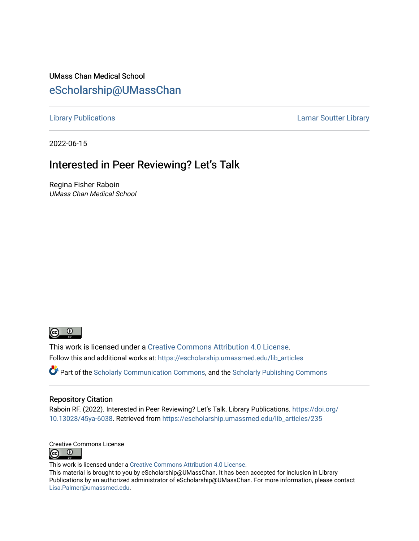#### UMass Chan Medical School [eScholarship@UMassChan](https://escholarship.umassmed.edu/)

[Library Publications](https://escholarship.umassmed.edu/lib_articles) [Lamar Soutter Library](https://escholarship.umassmed.edu/library) 

2022-06-15

### Interested in Peer Reviewing? Let's Talk

Regina Fisher Raboin UMass Chan Medical School



This work is licensed under a [Creative Commons Attribution 4.0 License](http://creativecommons.org/licenses/by/4.0/). Follow this and additional works at: [https://escholarship.umassmed.edu/lib\\_articles](https://escholarship.umassmed.edu/lib_articles?utm_source=escholarship.umassmed.edu%2Flib_articles%2F235&utm_medium=PDF&utm_campaign=PDFCoverPages) 

Part of the [Scholarly Communication Commons,](https://network.bepress.com/hgg/discipline/1272?utm_source=escholarship.umassmed.edu%2Flib_articles%2F235&utm_medium=PDF&utm_campaign=PDFCoverPages) and the [Scholarly Publishing Commons](https://network.bepress.com/hgg/discipline/1273?utm_source=escholarship.umassmed.edu%2Flib_articles%2F235&utm_medium=PDF&utm_campaign=PDFCoverPages)

#### Repository Citation

Raboin RF. (2022). Interested in Peer Reviewing? Let's Talk. Library Publications. [https://doi.org/](https://doi.org/10.13028/45ya-6038) [10.13028/45ya-6038.](https://doi.org/10.13028/45ya-6038) Retrieved from [https://escholarship.umassmed.edu/lib\\_articles/235](https://escholarship.umassmed.edu/lib_articles/235?utm_source=escholarship.umassmed.edu%2Flib_articles%2F235&utm_medium=PDF&utm_campaign=PDFCoverPages) 

Creative Commons License **@** ©

This work is licensed under a [Creative Commons Attribution 4.0 License](http://creativecommons.org/licenses/by/4.0/).

This material is brought to you by eScholarship@UMassChan. It has been accepted for inclusion in Library Publications by an authorized administrator of eScholarship@UMassChan. For more information, please contact [Lisa.Palmer@umassmed.edu](mailto:Lisa.Palmer@umassmed.edu).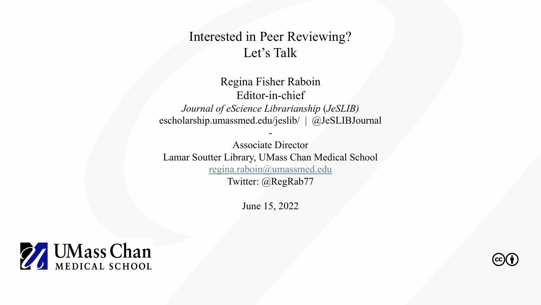### Interested in Peer Reviewing? Let's Talk

Regina Fisher Raboin Editor-in-chief *Journal of eScience Librarianship* (*JeSLIB)* escholarship.umassmed.edu/jeslib/ | @JeSLIBJournal

-

Associate Director Lamar Soutter Library, UMass Chan Medical School [regina.raboin@umassmed.edu](mailto:regina.raboin@umassmed.edu) Twitter: @RegRab77

June 15, 2022



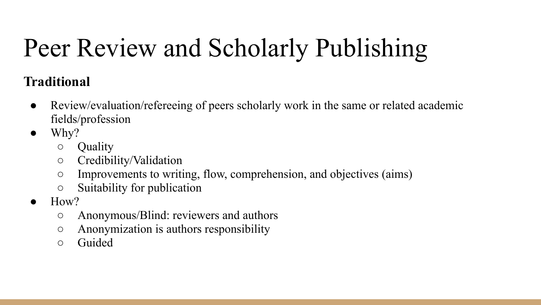# Peer Review and Scholarly Publishing

### **Traditional**

- Review/evaluation/refereeing of peers scholarly work in the same or related academic fields/profession
- $\bullet$  Why?
	- Quality
	- Credibility/Validation
	- Improvements to writing, flow, comprehension, and objectives (aims)
	- Suitability for publication
- How?
	- Anonymous/Blind: reviewers and authors
	- Anonymization is authors responsibility
	- Guided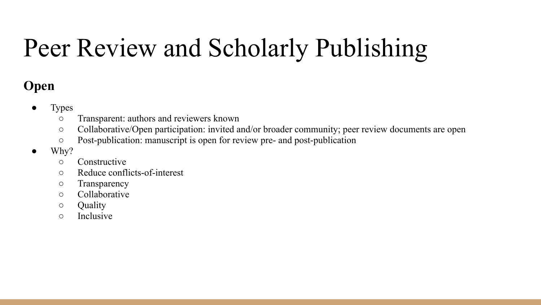## Peer Review and Scholarly Publishing

### **Open**

- **Types** 
	- Transparent: authors and reviewers known
	- Collaborative/Open participation: invited and/or broader community; peer review documents are open
	- Post-publication: manuscript is open for review pre- and post-publication
- $\bullet$  Why?
	- Constructive
	- Reduce conflicts-of-interest
	- Transparency
	- Collaborative
	- Quality
	- Inclusive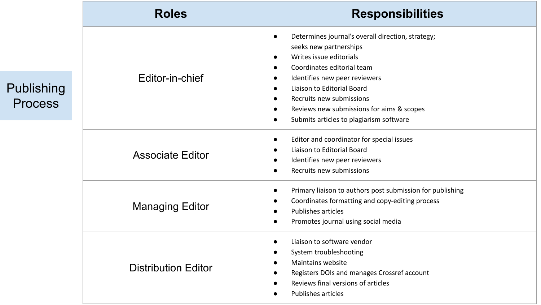|                             | <b>Roles</b>               | <b>Responsibilities</b>                                                                                                                                                                                                                                                                                                                                                                                                         |
|-----------------------------|----------------------------|---------------------------------------------------------------------------------------------------------------------------------------------------------------------------------------------------------------------------------------------------------------------------------------------------------------------------------------------------------------------------------------------------------------------------------|
| ublishing<br><b>Process</b> | Editor-in-chief            | Determines journal's overall direction, strategy;<br>$\bullet$<br>seeks new partnerships<br>Writes issue editorials<br>$\bullet$<br>Coordinates editorial team<br>$\bullet$<br>Identifies new peer reviewers<br>$\bullet$<br>Liaison to Editorial Board<br>$\bullet$<br>Recruits new submissions<br>$\bullet$<br>Reviews new submissions for aims & scopes<br>$\bullet$<br>Submits articles to plagiarism software<br>$\bullet$ |
|                             | <b>Associate Editor</b>    | Editor and coordinator for special issues<br>$\bullet$<br>Liaison to Editorial Board<br>$\bullet$<br>Identifies new peer reviewers<br>$\bullet$<br>Recruits new submissions<br>$\bullet$                                                                                                                                                                                                                                        |
|                             | <b>Managing Editor</b>     | Primary liaison to authors post submission for publishing<br>$\bullet$<br>Coordinates formatting and copy-editing process<br>$\bullet$<br><b>Publishes articles</b><br>$\bullet$<br>Promotes journal using social media<br>$\bullet$                                                                                                                                                                                            |
|                             | <b>Distribution Editor</b> | Liaison to software vendor<br>$\bullet$<br>System troubleshooting<br>$\bullet$<br>Maintains website<br>Registers DOIs and manages Crossref account<br>$\bullet$<br>Reviews final versions of articles<br>$\bullet$<br>Publishes articles<br>$\bullet$                                                                                                                                                                           |

 $P$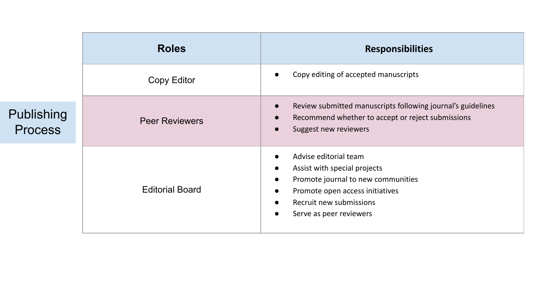|                              | <b>Roles</b>           | <b>Responsibilities</b>                                                                                                                                                                                                                               |
|------------------------------|------------------------|-------------------------------------------------------------------------------------------------------------------------------------------------------------------------------------------------------------------------------------------------------|
|                              | Copy Editor            | Copy editing of accepted manuscripts                                                                                                                                                                                                                  |
| Publishing<br><b>Process</b> | <b>Peer Reviewers</b>  | Review submitted manuscripts following journal's guidelines<br>$\bullet$<br>Recommend whether to accept or reject submissions<br>$\bullet$<br>Suggest new reviewers<br>$\bullet$                                                                      |
|                              | <b>Editorial Board</b> | Advise editorial team<br>Assist with special projects<br>$\bullet$<br>Promote journal to new communities<br>$\bullet$<br>Promote open access initiatives<br>$\bullet$<br>Recruit new submissions<br>$\bullet$<br>Serve as peer reviewers<br>$\bullet$ |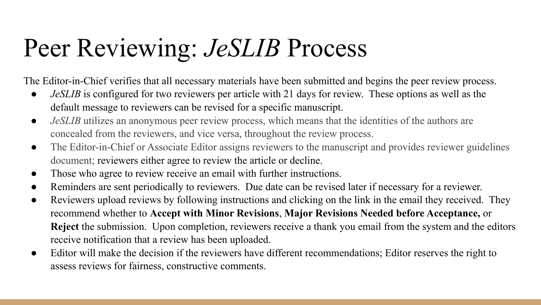## Peer Reviewing: *JeSLIB* Process

The Editor-in-Chief verifies that all necessary materials have been submitted and begins the peer review process.

- *JeSLIB* is configured for two reviewers per article with 21 days for review. These options as well as the default message to reviewers can be revised for a specific manuscript.
- *JeSLIB* utilizes an anonymous peer review process, which means that the identities of the authors are concealed from the reviewers, and vice versa, throughout the review process.
- The Editor-in-Chief or Associate Editor assigns reviewers to the manuscript and provides reviewer guidelines document; reviewers either agree to review the article or decline.
- Those who agree to review receive an email with further instructions.
- Reminders are sent periodically to reviewers. Due date can be revised later if necessary for a reviewer.
- Reviewers upload reviews by following instructions and clicking on the link in the email they received. They recommend whether to **Accept with Minor Revisions**, **Major Revisions Needed before Acceptance,** or **Reject** the submission. Upon completion, reviewers receive a thank you email from the system and the editors receive notification that a review has been uploaded.
- Editor will make the decision if the reviewers have different recommendations; Editor reserves the right to assess reviews for fairness, constructive comments.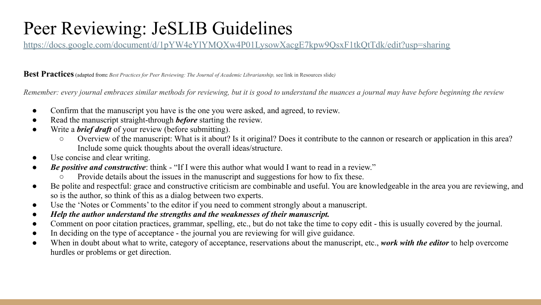### Peer Reviewing: JeSLIB Guidelines

<https://docs.google.com/document/d/1pYW4eYlYMQXw4P01LysowXacgE7kpw9QsxF1tkQtTdk/edit?usp=sharing>

**Best Practices**(adapted from**:** *Best Practices for Peer Reviewing: The Journal of Academic Librarianship,* see link in Resources slide*)*

*Remember: every journal embraces similar methods for reviewing, but it is good to understand the nuances a journal may have before beginning the review*

- Confirm that the manuscript you have is the one you were asked, and agreed, to review.
- Read the manuscript straight-through *before* starting the review.
- Write a *brief draft* of your review (before submitting).
	- Overview of the manuscript: What is it about? Is it original? Does it contribute to the cannon or research or application in this area? Include some quick thoughts about the overall ideas/structure.
- Use concise and clear writing.
- **Be positive and constructive:** think "If I were this author what would I want to read in a review."
	- Provide details about the issues in the manuscript and suggestions for how to fix these.
- Be polite and respectful: grace and constructive criticism are combinable and useful. You are knowledgeable in the area you are reviewing, and so is the author, so think of this as a dialog between two experts.
- Use the 'Notes or Comments' to the editor if you need to comment strongly about a manuscript.
- *● Help the author understand the strengths and the weaknesses of their manuscript.*
- Comment on poor citation practices, grammar, spelling, etc., but do not take the time to copy edit this is usually covered by the journal.
- In deciding on the type of acceptance the journal you are reviewing for will give guidance.
- When in doubt about what to write, category of acceptance, reservations about the manuscript, etc., *work with the editor* to help overcome hurdles or problems or get direction.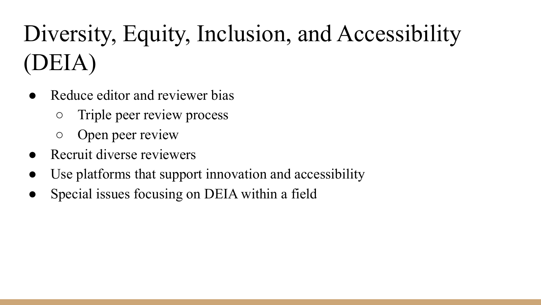## Diversity, Equity, Inclusion, and Accessibility (DEIA)

- Reduce editor and reviewer bias
	- Triple peer review process
	- Open peer review
- Recruit diverse reviewers
- Use platforms that support innovation and accessibility
- Special issues focusing on DEIA within a field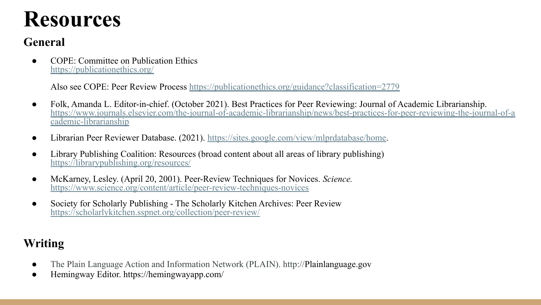## **Resources**

### **General**

● COPE: Committee on Publication Ethics <https://publicationethics.org/>

Also see COPE: Peer Review Process <https://publicationethics.org/guidance?classification=2779>

- Folk, Amanda L. Editor-in-chief. (October 2021). Best Practices for Peer Reviewing: Journal of Academic Librarianship. [https://www.journals.elsevier.com/the-journal-of-academic-librarianship/news/best-practices-for-peer-reviewing-the-journal-of-a](https://www.journals.elsevier.com/the-journal-of-academic-librarianship/news/best-practices-for-peer-reviewing-the-journal-of-academic-librarianship) [cademic-librarianship](https://www.journals.elsevier.com/the-journal-of-academic-librarianship/news/best-practices-for-peer-reviewing-the-journal-of-academic-librarianship)
- Librarian Peer Reviewer Database. (2021).<https://sites.google.com/view/mlprdatabase/home>.
- Library Publishing Coalition: Resources (broad content about all areas of library publishing) <https://librarypublishing.org/resources/>
- McKarney, Lesley. (April 20, 2001). Peer-Review Techniques for Novices. *Science.* <https://www.science.org/content/article/peer-review-techniques-novices>
- Society for Scholarly Publishing The Scholarly Kitchen Archives: Peer Review <https://scholarlykitchen.sspnet.org/collection/peer-review/>

### **Writing**

- The Plain Language Action and Information Network (PLAIN). http://Plainlanguage.gov
- Hemingway Editor. https://hemingwayapp.com/